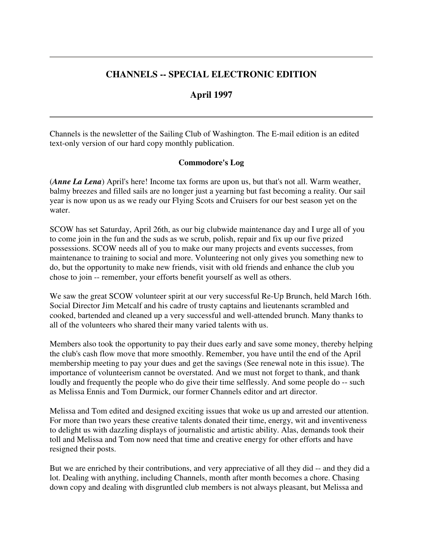# **CHANNELS -- SPECIAL ELECTRONIC EDITION**

# **April 1997**

Channels is the newsletter of the Sailing Club of Washington. The E-mail edition is an edited text-only version of our hard copy monthly publication.

## **Commodore's Log**

(*Anne La Lena*) April's here! Income tax forms are upon us, but that's not all. Warm weather, balmy breezes and filled sails are no longer just a yearning but fast becoming a reality. Our sail year is now upon us as we ready our Flying Scots and Cruisers for our best season yet on the water.

SCOW has set Saturday, April 26th, as our big clubwide maintenance day and I urge all of you to come join in the fun and the suds as we scrub, polish, repair and fix up our five prized possessions. SCOW needs all of you to make our many projects and events successes, from maintenance to training to social and more. Volunteering not only gives you something new to do, but the opportunity to make new friends, visit with old friends and enhance the club you chose to join -- remember, your efforts benefit yourself as well as others.

We saw the great SCOW volunteer spirit at our very successful Re-Up Brunch, held March 16th. Social Director Jim Metcalf and his cadre of trusty captains and lieutenants scrambled and cooked, bartended and cleaned up a very successful and well-attended brunch. Many thanks to all of the volunteers who shared their many varied talents with us.

Members also took the opportunity to pay their dues early and save some money, thereby helping the club's cash flow move that more smoothly. Remember, you have until the end of the April membership meeting to pay your dues and get the savings (See renewal note in this issue). The importance of volunteerism cannot be overstated. And we must not forget to thank, and thank loudly and frequently the people who do give their time selflessly. And some people do -- such as Melissa Ennis and Tom Durmick, our former Channels editor and art director.

Melissa and Tom edited and designed exciting issues that woke us up and arrested our attention. For more than two years these creative talents donated their time, energy, wit and inventiveness to delight us with dazzling displays of journalistic and artistic ability. Alas, demands took their toll and Melissa and Tom now need that time and creative energy for other efforts and have resigned their posts.

But we are enriched by their contributions, and very appreciative of all they did -- and they did a lot. Dealing with anything, including Channels, month after month becomes a chore. Chasing down copy and dealing with disgruntled club members is not always pleasant, but Melissa and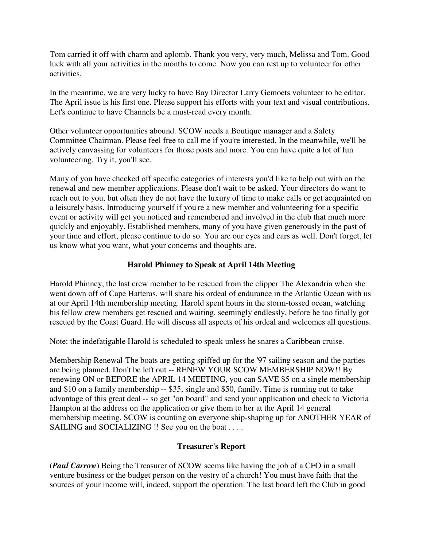Tom carried it off with charm and aplomb. Thank you very, very much, Melissa and Tom. Good luck with all your activities in the months to come. Now you can rest up to volunteer for other activities.

In the meantime, we are very lucky to have Bay Director Larry Gemoets volunteer to be editor. The April issue is his first one. Please support his efforts with your text and visual contributions. Let's continue to have Channels be a must-read every month.

Other volunteer opportunities abound. SCOW needs a Boutique manager and a Safety Committee Chairman. Please feel free to call me if you're interested. In the meanwhile, we'll be actively canvassing for volunteers for those posts and more. You can have quite a lot of fun volunteering. Try it, you'll see.

Many of you have checked off specific categories of interests you'd like to help out with on the renewal and new member applications. Please don't wait to be asked. Your directors do want to reach out to you, but often they do not have the luxury of time to make calls or get acquainted on a leisurely basis. Introducing yourself if you're a new member and volunteering for a specific event or activity will get you noticed and remembered and involved in the club that much more quickly and enjoyably. Established members, many of you have given generously in the past of your time and effort, please continue to do so. You are our eyes and ears as well. Don't forget, let us know what you want, what your concerns and thoughts are.

## **Harold Phinney to Speak at April 14th Meeting**

Harold Phinney, the last crew member to be rescued from the clipper The Alexandria when she went down off of Cape Hatteras, will share his ordeal of endurance in the Atlantic Ocean with us at our April 14th membership meeting. Harold spent hours in the storm-tossed ocean, watching his fellow crew members get rescued and waiting, seemingly endlessly, before he too finally got rescued by the Coast Guard. He will discuss all aspects of his ordeal and welcomes all questions.

Note: the indefatigable Harold is scheduled to speak unless he snares a Caribbean cruise.

Membership Renewal-The boats are getting spiffed up for the '97 sailing season and the parties are being planned. Don't be left out -- RENEW YOUR SCOW MEMBERSHIP NOW!! By renewing ON or BEFORE the APRIL 14 MEETING, you can SAVE \$5 on a single membership and \$10 on a family membership -- \$35, single and \$50, family. Time is running out to take advantage of this great deal -- so get "on board" and send your application and check to Victoria Hampton at the address on the application or give them to her at the April 14 general membership meeting. SCOW is counting on everyone ship-shaping up for ANOTHER YEAR of SAILING and SOCIALIZING !! See you on the boat . . . .

## **Treasurer's Report**

(*Paul Carrow*) Being the Treasurer of SCOW seems like having the job of a CFO in a small venture business or the budget person on the vestry of a church! You must have faith that the sources of your income will, indeed, support the operation. The last board left the Club in good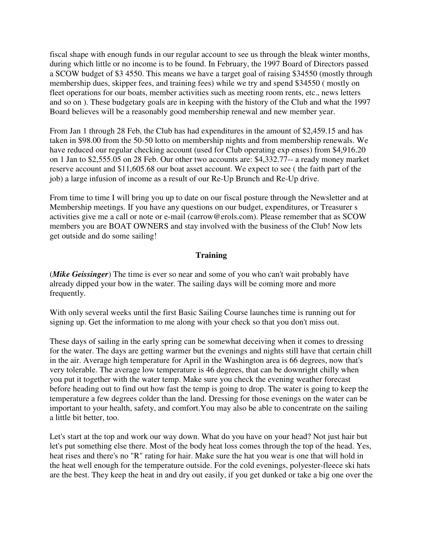fiscal shape with enough funds in our regular account to see us through the bleak winter months, during which little or no income is to be found. In February, the 1997 Board of Directors passed a SCOW budget of \$3 4550. This means we have a target goal of raising \$34550 (mostly through membership dues, skipper fees, and training fees) while we try and spend \$34550 ( mostly on fleet operations for our boats, member activities such as meeting room rents, etc., news letters and so on ). These budgetary goals are in keeping with the history of the Club and what the 1997 Board believes will be a reasonably good membership renewal and new member year.

From Jan 1 through 28 Feb, the Club has had expenditures in the amount of \$2,459.15 and has taken in \$98.00 from the 50-50 lotto on membership nights and from membership renewals. We have reduced our regular checking account (used for Club operating exp enses) from \$4,916.20 on 1 Jan to \$2,555.05 on 28 Feb. Our other two accounts are: \$4,332.77-- a ready money market reserve account and \$11,605.68 our boat asset account. We expect to see ( the faith part of the job) a large infusion of income as a result of our Re-Up Brunch and Re-Up drive.

From time to time I will bring you up to date on our fiscal posture through the Newsletter and at Membership meetings. If you have any questions on our budget, expenditures, or Treasurer s activities give me a call or note or e-mail (carrow@erols.com). Please remember that as SCOW members you are BOAT OWNERS and stay involved with the business of the Club! Now lets get outside and do some sailing!

## **Training**

(*Mike Geissinger*) The time is ever so near and some of you who can't wait probably have already dipped your bow in the water. The sailing days will be coming more and more frequently.

With only several weeks until the first Basic Sailing Course launches time is running out for signing up. Get the information to me along with your check so that you don't miss out.

These days of sailing in the early spring can be somewhat deceiving when it comes to dressing for the water. The days are getting warmer but the evenings and nights still have that certain chill in the air. Average high temperature for April in the Washington area is 66 degrees, now that's very tolerable. The average low temperature is 46 degrees, that can be downright chilly when you put it together with the water temp. Make sure you check the evening weather forecast before heading out to find out how fast the temp is going to drop. The water is going to keep the temperature a few degrees colder than the land. Dressing for those evenings on the water can be important to your health, safety, and comfort.You may also be able to concentrate on the sailing a little bit better, too.

Let's start at the top and work our way down. What do you have on your head? Not just hair but let's put something else there. Most of the body heat loss comes through the top of the head. Yes, heat rises and there's no "R" rating for hair. Make sure the hat you wear is one that will hold in the heat well enough for the temperature outside. For the cold evenings, polyester-fleece ski hats are the best. They keep the heat in and dry out easily, if you get dunked or take a big one over the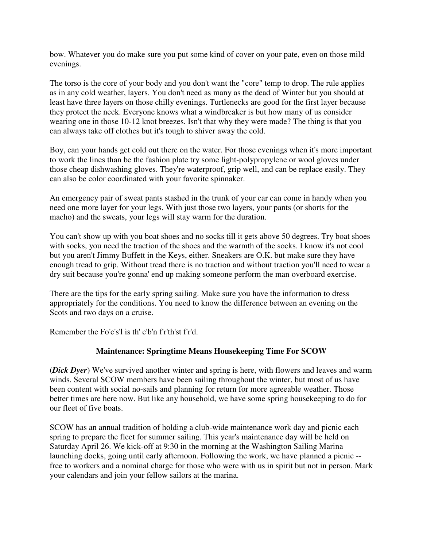bow. Whatever you do make sure you put some kind of cover on your pate, even on those mild evenings.

The torso is the core of your body and you don't want the "core" temp to drop. The rule applies as in any cold weather, layers. You don't need as many as the dead of Winter but you should at least have three layers on those chilly evenings. Turtlenecks are good for the first layer because they protect the neck. Everyone knows what a windbreaker is but how many of us consider wearing one in those 10-12 knot breezes. Isn't that why they were made? The thing is that you can always take off clothes but it's tough to shiver away the cold.

Boy, can your hands get cold out there on the water. For those evenings when it's more important to work the lines than be the fashion plate try some light-polypropylene or wool gloves under those cheap dishwashing gloves. They're waterproof, grip well, and can be replace easily. They can also be color coordinated with your favorite spinnaker.

An emergency pair of sweat pants stashed in the trunk of your car can come in handy when you need one more layer for your legs. With just those two layers, your pants (or shorts for the macho) and the sweats, your legs will stay warm for the duration.

You can't show up with you boat shoes and no socks till it gets above 50 degrees. Try boat shoes with socks, you need the traction of the shoes and the warmth of the socks. I know it's not cool but you aren't Jimmy Buffett in the Keys, either. Sneakers are O.K. but make sure they have enough tread to grip. Without tread there is no traction and without traction you'll need to wear a dry suit because you're gonna' end up making someone perform the man overboard exercise.

There are the tips for the early spring sailing. Make sure you have the information to dress appropriately for the conditions. You need to know the difference between an evening on the Scots and two days on a cruise.

Remember the Fo'c's'l is th' c'b'n f'r'th'st f'r'd.

## **Maintenance: Springtime Means Housekeeping Time For SCOW**

(*Dick Dyer*) We've survived another winter and spring is here, with flowers and leaves and warm winds. Several SCOW members have been sailing throughout the winter, but most of us have been content with social no-sails and planning for return for more agreeable weather. Those better times are here now. But like any household, we have some spring housekeeping to do for our fleet of five boats.

SCOW has an annual tradition of holding a club-wide maintenance work day and picnic each spring to prepare the fleet for summer sailing. This year's maintenance day will be held on Saturday April 26. We kick-off at 9:30 in the morning at the Washington Sailing Marina launching docks, going until early afternoon. Following the work, we have planned a picnic - free to workers and a nominal charge for those who were with us in spirit but not in person. Mark your calendars and join your fellow sailors at the marina.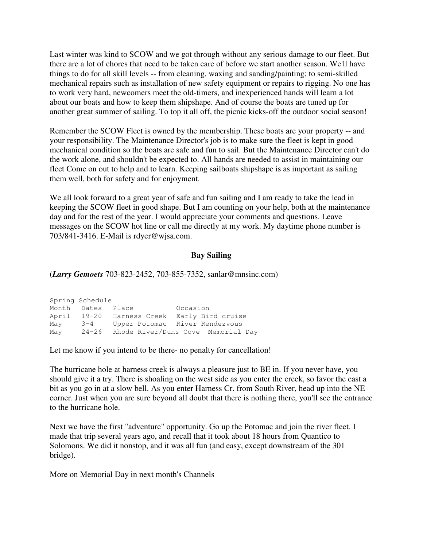Last winter was kind to SCOW and we got through without any serious damage to our fleet. But there are a lot of chores that need to be taken care of before we start another season. We'll have things to do for all skill levels -- from cleaning, waxing and sanding/painting; to semi-skilled mechanical repairs such as installation of new safety equipment or repairs to rigging. No one has to work very hard, newcomers meet the old-timers, and inexperienced hands will learn a lot about our boats and how to keep them shipshape. And of course the boats are tuned up for another great summer of sailing. To top it all off, the picnic kicks-off the outdoor social season!

Remember the SCOW Fleet is owned by the membership. These boats are your property -- and your responsibility. The Maintenance Director's job is to make sure the fleet is kept in good mechanical condition so the boats are safe and fun to sail. But the Maintenance Director can't do the work alone, and shouldn't be expected to. All hands are needed to assist in maintaining our fleet Come on out to help and to learn. Keeping sailboats shipshape is as important as sailing them well, both for safety and for enjoyment.

We all look forward to a great year of safe and fun sailing and I am ready to take the lead in keeping the SCOW fleet in good shape. But I am counting on your help, both at the maintenance day and for the rest of the year. I would appreciate your comments and questions. Leave messages on the SCOW hot line or call me directly at my work. My daytime phone number is 703/841-3416. E-Mail is rdyer@wjsa.com.

#### **Bay Sailing**

(*Larry Gemoets* 703-823-2452, 703-855-7352, sanlar@mnsinc.com)

|       | Spring Schedule   |                                          |          |  |
|-------|-------------------|------------------------------------------|----------|--|
|       | Month Dates Place |                                          | Occasion |  |
| April |                   | 19-20 Harness Creek Early Bird cruise    |          |  |
| May   | $3 - 4$           | Upper Potomac River Rendezvous           |          |  |
| May   |                   | 24-26 Rhode River/Duns Cove Memorial Day |          |  |

Let me know if you intend to be there- no penalty for cancellation!

The hurricane hole at harness creek is always a pleasure just to BE in. If you never have, you should give it a try. There is shoaling on the west side as you enter the creek, so favor the east a bit as you go in at a slow bell. As you enter Harness Cr. from South River, head up into the NE corner. Just when you are sure beyond all doubt that there is nothing there, you'll see the entrance to the hurricane hole.

Next we have the first "adventure" opportunity. Go up the Potomac and join the river fleet. I made that trip several years ago, and recall that it took about 18 hours from Quantico to Solomons. We did it nonstop, and it was all fun (and easy, except downstream of the 301 bridge).

More on Memorial Day in next month's Channels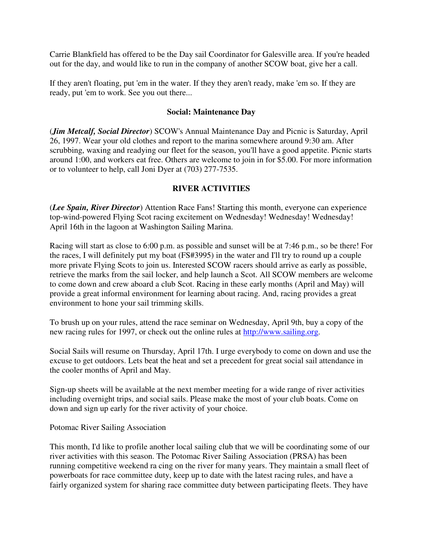Carrie Blankfield has offered to be the Day sail Coordinator for Galesville area. If you're headed out for the day, and would like to run in the company of another SCOW boat, give her a call.

If they aren't floating, put 'em in the water. If they they aren't ready, make 'em so. If they are ready, put 'em to work. See you out there...

### **Social: Maintenance Day**

(*Jim Metcalf, Social Director*) SCOW's Annual Maintenance Day and Picnic is Saturday, April 26, 1997. Wear your old clothes and report to the marina somewhere around 9:30 am. After scrubbing, waxing and readying our fleet for the season, you'll have a good appetite. Picnic starts around 1:00, and workers eat free. Others are welcome to join in for \$5.00. For more information or to volunteer to help, call Joni Dyer at (703) 277-7535.

## **RIVER ACTIVITIES**

(*Lee Spain, River Director*) Attention Race Fans! Starting this month, everyone can experience top-wind-powered Flying Scot racing excitement on Wednesday! Wednesday! Wednesday! April 16th in the lagoon at Washington Sailing Marina.

Racing will start as close to 6:00 p.m. as possible and sunset will be at 7:46 p.m., so be there! For the races, I will definitely put my boat (FS#3995) in the water and I'll try to round up a couple more private Flying Scots to join us. Interested SCOW racers should arrive as early as possible, retrieve the marks from the sail locker, and help launch a Scot. All SCOW members are welcome to come down and crew aboard a club Scot. Racing in these early months (April and May) will provide a great informal environment for learning about racing. And, racing provides a great environment to hone your sail trimming skills.

To brush up on your rules, attend the race seminar on Wednesday, April 9th, buy a copy of the new racing rules for 1997, or check out the online rules at http://www.sailing.org.

Social Sails will resume on Thursday, April 17th. I urge everybody to come on down and use the excuse to get outdoors. Lets beat the heat and set a precedent for great social sail attendance in the cooler months of April and May.

Sign-up sheets will be available at the next member meeting for a wide range of river activities including overnight trips, and social sails. Please make the most of your club boats. Come on down and sign up early for the river activity of your choice.

Potomac River Sailing Association

This month, I'd like to profile another local sailing club that we will be coordinating some of our river activities with this season. The Potomac River Sailing Association (PRSA) has been running competitive weekend ra cing on the river for many years. They maintain a small fleet of powerboats for race committee duty, keep up to date with the latest racing rules, and have a fairly organized system for sharing race committee duty between participating fleets. They have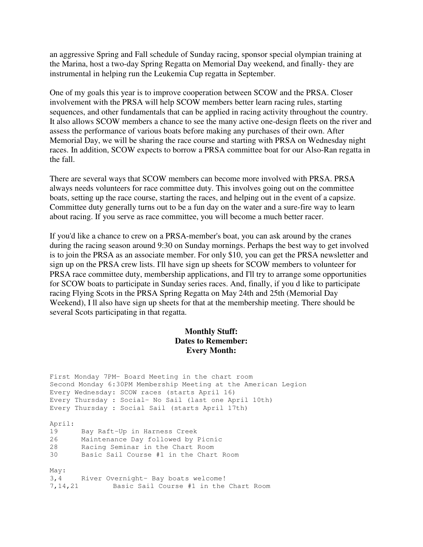an aggressive Spring and Fall schedule of Sunday racing, sponsor special olympian training at the Marina, host a two-day Spring Regatta on Memorial Day weekend, and finally- they are instrumental in helping run the Leukemia Cup regatta in September.

One of my goals this year is to improve cooperation between SCOW and the PRSA. Closer involvement with the PRSA will help SCOW members better learn racing rules, starting sequences, and other fundamentals that can be applied in racing activity throughout the country. It also allows SCOW members a chance to see the many active one-design fleets on the river and assess the performance of various boats before making any purchases of their own. After Memorial Day, we will be sharing the race course and starting with PRSA on Wednesday night races. In addition, SCOW expects to borrow a PRSA committee boat for our Also-Ran regatta in the fall.

There are several ways that SCOW members can become more involved with PRSA. PRSA always needs volunteers for race committee duty. This involves going out on the committee boats, setting up the race course, starting the races, and helping out in the event of a capsize. Committee duty generally turns out to be a fun day on the water and a sure-fire way to learn about racing. If you serve as race committee, you will become a much better racer.

If you'd like a chance to crew on a PRSA-member's boat, you can ask around by the cranes during the racing season around 9:30 on Sunday mornings. Perhaps the best way to get involved is to join the PRSA as an associate member. For only \$10, you can get the PRSA newsletter and sign up on the PRSA crew lists. I'll have sign up sheets for SCOW members to volunteer for PRSA race committee duty, membership applications, and I'll try to arrange some opportunities for SCOW boats to participate in Sunday series races. And, finally, if you d like to participate racing Flying Scots in the PRSA Spring Regatta on May 24th and 25th (Memorial Day Weekend), I ll also have sign up sheets for that at the membership meeting. There should be several Scots participating in that regatta.

## **Monthly Stuff: Dates to Remember: Every Month:**

```
First Monday 7PM- Board Meeting in the chart room
Second Monday 6:30PM Membership Meeting at the American Legion
Every Wednesday: SCOW races (starts April 16)
Every Thursday : Social- No Sail (last one April 10th)
Every Thursday : Social Sail (starts April 17th)
April:
19 Bay Raft-Up in Harness Creek
26 Maintenance Day followed by Picnic
28 Racing Seminar in the Chart Room
30 Basic Sail Course #1 in the Chart Room
May:
3,4 River Overnight- Bay boats welcome!
7,14,21 Basic Sail Course #1 in the Chart Room
```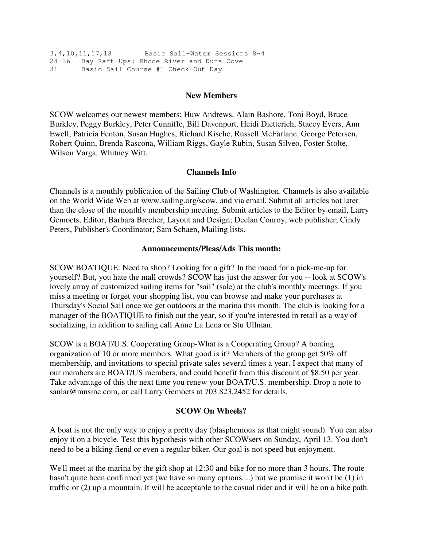```
3,4,10,11,17,18 Basic Sail-Water Sessions 8-4
24-26 Bay Raft-Ups: Rhode River and Duns Cove
31 Basic Sail Course #1 Check-Out Day
```
#### **New Members**

SCOW welcomes our newest members: Huw Andrews, Alain Bashore, Toni Boyd, Bruce Burkley, Peggy Burkley, Peter Cunniffe, Bill Davenport, Heidi Dietterich, Stacey Evers, Ann Ewell, Patricia Fenton, Susan Hughes, Richard Kische, Russell McFarlane, George Petersen, Robert Quinn, Brenda Rascona, William Riggs, Gayle Rubin, Susan Silveo, Foster Stolte, Wilson Varga, Whitney Witt.

### **Channels Info**

Channels is a monthly publication of the Sailing Club of Washington. Channels is also available on the World Wide Web at www.sailing.org/scow, and via email. Submit all articles not later than the close of the monthly membership meeting. Submit articles to the Editor by email, Larry Gemoets, Editor; Barbara Brecher, Layout and Design; Declan Conroy, web publisher; Cindy Peters, Publisher's Coordinator; Sam Schaen, Mailing lists.

#### **Announcements/Pleas/Ads This month:**

SCOW BOATIQUE: Need to shop? Looking for a gift? In the mood for a pick-me-up for yourself? But, you hate the mall crowds? SCOW has just the answer for you -- look at SCOW's lovely array of customized sailing items for "sail" (sale) at the club's monthly meetings. If you miss a meeting or forget your shopping list, you can browse and make your purchases at Thursday's Social Sail once we get outdoors at the marina this month. The club is looking for a manager of the BOATIQUE to finish out the year, so if you're interested in retail as a way of socializing, in addition to sailing call Anne La Lena or Stu Ullman.

SCOW is a BOAT/U.S. Cooperating Group-What is a Cooperating Group? A boating organization of 10 or more members. What good is it? Members of the group get 50% off membership, and invitations to special private sales several times a year. I expect that many of our members are BOAT/US members, and could benefit from this discount of \$8.50 per year. Take advantage of this the next time you renew your BOAT/U.S. membership. Drop a note to sanlar@mnsinc.com, or call Larry Gemoets at 703.823.2452 for details.

#### **SCOW On Wheels?**

A boat is not the only way to enjoy a pretty day (blasphemous as that might sound). You can also enjoy it on a bicycle. Test this hypothesis with other SCOWsers on Sunday, April 13. You don't need to be a biking fiend or even a regular biker. Our goal is not speed but enjoyment.

We'll meet at the marina by the gift shop at 12:30 and bike for no more than 3 hours. The route hasn't quite been confirmed yet (we have so many options....) but we promise it won't be (1) in traffic or (2) up a mountain. It will be acceptable to the casual rider and it will be on a bike path.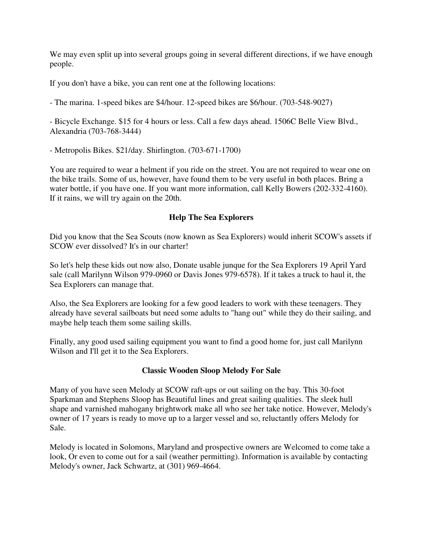We may even split up into several groups going in several different directions, if we have enough people.

If you don't have a bike, you can rent one at the following locations:

- The marina. 1-speed bikes are \$4/hour. 12-speed bikes are \$6/hour. (703-548-9027)

- Bicycle Exchange. \$15 for 4 hours or less. Call a few days ahead. 1506C Belle View Blvd., Alexandria (703-768-3444)

- Metropolis Bikes. \$21/day. Shirlington. (703-671-1700)

You are required to wear a helment if you ride on the street. You are not required to wear one on the bike trails. Some of us, however, have found them to be very useful in both places. Bring a water bottle, if you have one. If you want more information, call Kelly Bowers (202-332-4160). If it rains, we will try again on the 20th.

## **Help The Sea Explorers**

Did you know that the Sea Scouts (now known as Sea Explorers) would inherit SCOW's assets if SCOW ever dissolved? It's in our charter!

So let's help these kids out now also, Donate usable junque for the Sea Explorers 19 April Yard sale (call Marilynn Wilson 979-0960 or Davis Jones 979-6578). If it takes a truck to haul it, the Sea Explorers can manage that.

Also, the Sea Explorers are looking for a few good leaders to work with these teenagers. They already have several sailboats but need some adults to "hang out" while they do their sailing, and maybe help teach them some sailing skills.

Finally, any good used sailing equipment you want to find a good home for, just call Marilynn Wilson and I'll get it to the Sea Explorers.

### **Classic Wooden Sloop Melody For Sale**

Many of you have seen Melody at SCOW raft-ups or out sailing on the bay. This 30-foot Sparkman and Stephens Sloop has Beautiful lines and great sailing qualities. The sleek hull shape and varnished mahogany brightwork make all who see her take notice. However, Melody's owner of 17 years is ready to move up to a larger vessel and so, reluctantly offers Melody for Sale.

Melody is located in Solomons, Maryland and prospective owners are Welcomed to come take a look, Or even to come out for a sail (weather permitting). Information is available by contacting Melody's owner, Jack Schwartz, at (301) 969-4664.